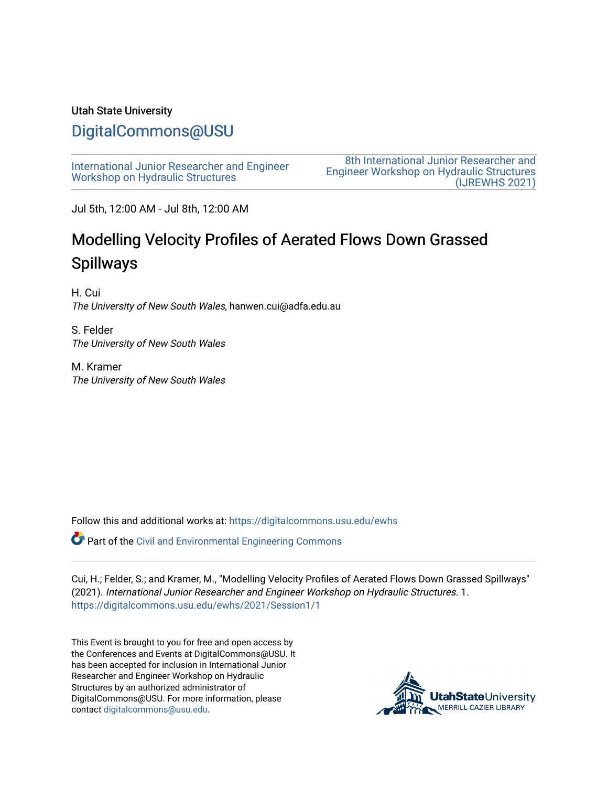#### Utah State University

# [DigitalCommons@USU](https://digitalcommons.usu.edu/)

[International Junior Researcher and Engineer](https://digitalcommons.usu.edu/ewhs) [Workshop on Hydraulic Structures](https://digitalcommons.usu.edu/ewhs)

[8th International Junior Researcher and](https://digitalcommons.usu.edu/ewhs/2021)  [Engineer Workshop on Hydraulic Structures](https://digitalcommons.usu.edu/ewhs/2021)  [\(IJREWHS 2021\)](https://digitalcommons.usu.edu/ewhs/2021) 

Jul 5th, 12:00 AM - Jul 8th, 12:00 AM

# Modelling Velocity Profiles of Aerated Flows Down Grassed Spillways

H. Cui The University of New South Wales, hanwen.cui@adfa.edu.au

S. Felder The University of New South Wales

M. Kramer The University of New South Wales

Follow this and additional works at: [https://digitalcommons.usu.edu/ewhs](https://digitalcommons.usu.edu/ewhs?utm_source=digitalcommons.usu.edu%2Fewhs%2F2021%2FSession1%2F1&utm_medium=PDF&utm_campaign=PDFCoverPages) 

Part of the [Civil and Environmental Engineering Commons](http://network.bepress.com/hgg/discipline/251?utm_source=digitalcommons.usu.edu%2Fewhs%2F2021%2FSession1%2F1&utm_medium=PDF&utm_campaign=PDFCoverPages)

Cui, H.; Felder, S.; and Kramer, M., "Modelling Velocity Profiles of Aerated Flows Down Grassed Spillways" (2021). International Junior Researcher and Engineer Workshop on Hydraulic Structures. 1. [https://digitalcommons.usu.edu/ewhs/2021/Session1/1](https://digitalcommons.usu.edu/ewhs/2021/Session1/1?utm_source=digitalcommons.usu.edu%2Fewhs%2F2021%2FSession1%2F1&utm_medium=PDF&utm_campaign=PDFCoverPages) 

This Event is brought to you for free and open access by the Conferences and Events at DigitalCommons@USU. It has been accepted for inclusion in International Junior Researcher and Engineer Workshop on Hydraulic Structures by an authorized administrator of DigitalCommons@USU. For more information, please contact [digitalcommons@usu.edu](mailto:digitalcommons@usu.edu).

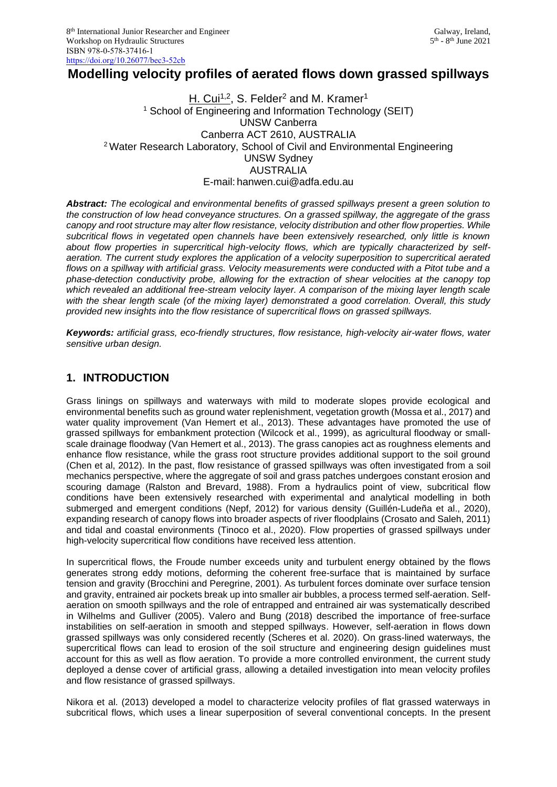# **Modelling velocity profiles of aerated flows down grassed spillways**

#### <u>H. Cui<sup>1,2</sup>,</u> S. Felder<sup>2</sup> and M. Kramer<sup>1</sup> <sup>1</sup> School of Engineering and Information Technology (SEIT) UNSW Canberra Canberra ACT 2610, AUSTRALIA <sup>2</sup>Water Research Laboratory, School of Civil and Environmental Engineering UNSW Sydney **AUSTRALIA** E-mail: hanwen.cui@adfa.edu.au

*Abstract: The ecological and environmental benefits of grassed spillways present a green solution to the construction of low head conveyance structures. On a grassed spillway, the aggregate of the grass canopy and root structure may alter flow resistance, velocity distribution and other flow properties. While subcritical flows in vegetated open channels have been extensively researched, only little is known about flow properties in supercritical high-velocity flows, which are typically characterized by selfaeration. The current study explores the application of a velocity superposition to supercritical aerated flows on a spillway with artificial grass. Velocity measurements were conducted with a Pitot tube and a phase-detection conductivity probe, allowing for the extraction of shear velocities at the canopy top which revealed an additional free-stream velocity layer. A comparison of the mixing layer length scale with the shear length scale (of the mixing layer) demonstrated a good correlation. Overall, this study provided new insights into the flow resistance of supercritical flows on grassed spillways.*

*Keywords: artificial grass, eco-friendly structures, flow resistance, high-velocity air-water flows, water sensitive urban design.*

## **1. INTRODUCTION**

Grass linings on spillways and waterways with mild to moderate slopes provide ecological and environmental benefits such as ground water replenishment, vegetation growth (Mossa et al., 2017) and water quality improvement (Van Hemert et al., 2013). These advantages have promoted the use of grassed spillways for embankment protection (Wilcock et al., 1999), as agricultural floodway or smallscale drainage floodway (Van Hemert et al., 2013). The grass canopies act as roughness elements and enhance flow resistance, while the grass root structure provides additional support to the soil ground (Chen et al, 2012). In the past, flow resistance of grassed spillways was often investigated from a soil mechanics perspective, where the aggregate of soil and grass patches undergoes constant erosion and scouring damage (Ralston and Brevard, 1988). From a hydraulics point of view, subcritical flow conditions have been extensively researched with experimental and analytical modelling in both submerged and emergent conditions (Nepf, 2012) for various density (Guillén-Ludeña et al., 2020), expanding research of canopy flows into broader aspects of river floodplains (Crosato and Saleh, 2011) and tidal and coastal environments (Tinoco et al., 2020). Flow properties of grassed spillways under high-velocity supercritical flow conditions have received less attention.

In supercritical flows, the Froude number exceeds unity and turbulent energy obtained by the flows generates strong eddy motions, deforming the coherent free-surface that is maintained by surface tension and gravity (Brocchini and Peregrine, 2001). As turbulent forces dominate over surface tension and gravity, entrained air pockets break up into smaller air bubbles, a process termed self-aeration. Selfaeration on smooth spillways and the role of entrapped and entrained air was systematically described in Wilhelms and Gulliver (2005). Valero and Bung (2018) described the importance of free-surface instabilities on self-aeration in smooth and stepped spillways. However, self-aeration in flows down grassed spillways was only considered recently (Scheres et al. 2020). On grass-lined waterways, the supercritical flows can lead to erosion of the soil structure and engineering design guidelines must account for this as well as flow aeration. To provide a more controlled environment, the current study deployed a dense cover of artificial grass, allowing a detailed investigation into mean velocity profiles and flow resistance of grassed spillways.

Nikora et al. (2013) developed a model to characterize velocity profiles of flat grassed waterways in subcritical flows, which uses a linear superposition of several conventional concepts. In the present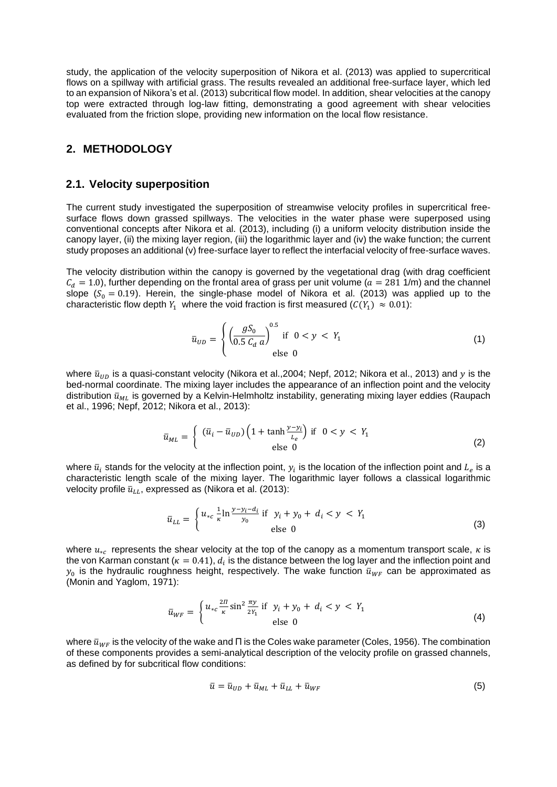study, the application of the velocity superposition of Nikora et al. (2013) was applied to supercritical flows on a spillway with artificial grass. The results revealed an additional free-surface layer, which led to an expansion of Nikora's et al. (2013) subcritical flow model. In addition, shear velocities at the canopy top were extracted through log-law fitting, demonstrating a good agreement with shear velocities evaluated from the friction slope, providing new information on the local flow resistance.

#### **2. METHODOLOGY**

#### **2.1. Velocity superposition**

The current study investigated the superposition of streamwise velocity profiles in supercritical freesurface flows down grassed spillways. The velocities in the water phase were superposed using conventional concepts after Nikora et al. (2013), including (i) a uniform velocity distribution inside the canopy layer, (ii) the mixing layer region, (iii) the logarithmic layer and (iv) the wake function; the current study proposes an additional (v) free-surface layer to reflect the interfacial velocity of free-surface waves.

The velocity distribution within the canopy is governed by the vegetational drag (with drag coefficient  $C_d = 1.0$ ), further depending on the frontal area of grass per unit volume ( $a = 281$  1/m) and the channel slope ( $S_0 = 0.19$ ). Herein, the single-phase model of Nikora et al. (2013) was applied up to the characteristic flow depth  $Y_1$  where the void fraction is first measured  $({\cal C}(Y_1)\ \approx 0.01)$ :

$$
\bar{u}_{UD} = \begin{cases} \left(\frac{gS_0}{0.5 C_d a}\right)^{0.5} & \text{if } 0 < y < Y_1 \\ \text{else } 0 & \text{otherwise} \end{cases}
$$
 (1)

where  $\bar{u}_{ID}$  is a quasi-constant velocity (Nikora et al., 2004; Nepf, 2012; Nikora et al., 2013) and y is the bed-normal coordinate. The mixing layer includes the appearance of an inflection point and the velocity distribution  $\bar{u}_{ML}$  is governed by a Kelvin-Helmholtz instability, generating mixing layer eddies (Raupach et al., 1996; Nepf, 2012; Nikora et al., 2013):

$$
\bar{u}_{ML} = \begin{cases} (\bar{u}_i - \bar{u}_{UD}) \left( 1 + \tanh \frac{y - y_i}{L_e} \right) & \text{if } 0 < y < Y_1 \\ \text{else } 0 & \text{else } 0 \end{cases} \tag{2}
$$

where  $\bar{u}_i$  stands for the velocity at the inflection point,  $y_i$  is the location of the inflection point and  $L_e$  is a characteristic length scale of the mixing layer. The logarithmic layer follows a classical logarithmic velocity profile  $\bar{u}_{LL}$ , expressed as (Nikora et al. (2013):

$$
\bar{u}_{LL} = \begin{cases} u_{*c} \frac{1}{\kappa} \ln \frac{y - y_i - d_i}{y_0} & \text{if } y_i + y_0 + d_i < y < Y_1 \\ \text{else } 0 & \text{else} \end{cases} \tag{3}
$$

where  $u_{*c}$  represents the shear velocity at the top of the canopy as a momentum transport scale,  $\kappa$  is the von Karman constant ( $\kappa=0.41$ ),  $d_i$  is the distance between the log layer and the inflection point and  $y_0$  is the hydraulic roughness height, respectively. The wake function  $\bar{u}_{WF}$  can be approximated as (Monin and Yaglom, 1971):

$$
\bar{u}_{WF} = \begin{cases} u_{*c} \frac{2\pi}{\kappa} \sin^2 \frac{\pi y}{2Y_1} & \text{if } y_i + y_0 + d_i < y < Y_1 \\ \text{else } 0 & \end{cases} \tag{4}
$$

where  $\bar{u}_{WF}$  is the velocity of the wake and Π is the Coles wake parameter (Coles, 1956). The combination of these components provides a semi-analytical description of the velocity profile on grassed channels, as defined by for subcritical flow conditions:

$$
\bar{u} = \bar{u}_{UD} + \bar{u}_{ML} + \bar{u}_{LL} + \bar{u}_{WF} \tag{5}
$$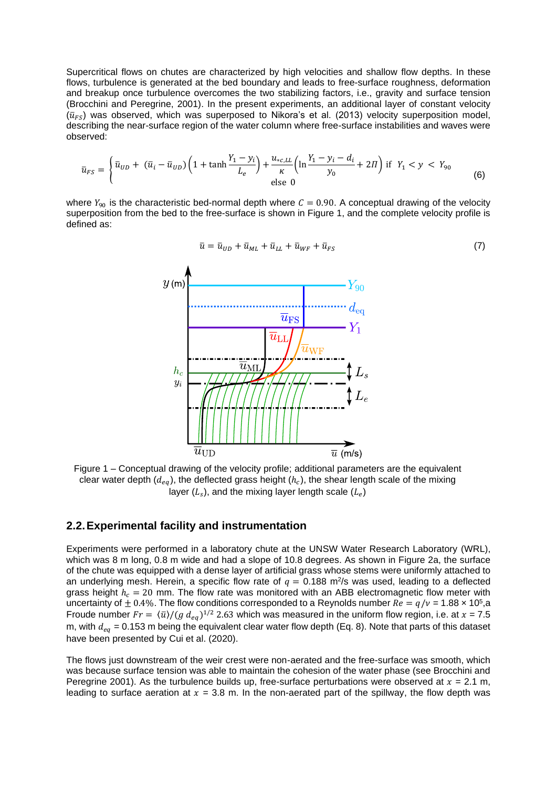Supercritical flows on chutes are characterized by high velocities and shallow flow depths. In these flows, turbulence is generated at the bed boundary and leads to free-surface roughness, deformation and breakup once turbulence overcomes the two stabilizing factors, i.e., gravity and surface tension (Brocchini and Peregrine, 2001). In the present experiments, an additional layer of constant velocity  $(\bar{u}_{FS})$  was observed, which was superposed to Nikora's et al. (2013) velocity superposition model, describing the near-surface region of the water column where free-surface instabilities and waves were observed:

$$
\bar{u}_{FS} = \begin{cases} \bar{u}_{UD} + (\bar{u}_i - \bar{u}_{UD}) \left( 1 + \tanh \frac{Y_1 - y_i}{L_e} \right) + \frac{u_{*c,LL}}{\kappa} \left( \ln \frac{Y_1 - y_i - d_i}{y_0} + 2\Pi \right) \text{ if } Y_1 < y < Y_{90} \\ \text{else 0} \end{cases} \tag{6}
$$

where  $Y_{90}$  is the characteristic bed-normal depth where  $C = 0.90$ . A conceptual drawing of the velocity superposition from the bed to the free-surface is shown in Figure 1, and the complete velocity profile is defined as:



 $\bar{u} = \bar{u}_{ID} + \bar{u}_{ML} + \bar{u}_{LL} + \bar{u}_{WF} + \bar{u}_{FS}$  (7)

Figure 1 – Conceptual drawing of the velocity profile; additional parameters are the equivalent clear water depth  $(d_{eq})$ , the deflected grass height  $(h_c)$ , the shear length scale of the mixing layer  $(L_s)$ , and the mixing layer length scale  $(L_e)$ 

#### **2.2.Experimental facility and instrumentation**

Experiments were performed in a laboratory chute at the UNSW Water Research Laboratory (WRL), which was 8 m long, 0.8 m wide and had a slope of 10.8 degrees. As shown in Figure 2a, the surface of the chute was equipped with a dense layer of artificial grass whose stems were uniformly attached to an underlying mesh. Herein, a specific flow rate of  $q = 0.188$  m<sup>2</sup>/s was used, leading to a deflected grass height  $h_c = 20$  mm. The flow rate was monitored with an ABB electromagnetic flow meter with uncertainty of  $\pm$  0.4%. The flow conditions corresponded to a Reynolds number  $Re=q/\nu$  = 1.88  $\times$  10<sup>5</sup>,a Froude number  $Fr = \langle \bar{u} \rangle / (g \, d_{eq})^{1/2}$  2.63 which was measured in the uniform flow region, i.e. at  $x = 7.5$ m, with  $d_{eq} = 0.153$  m being the equivalent clear water flow depth (Eq. 8). Note that parts of this dataset have been presented by Cui et al. (2020).

The flows just downstream of the weir crest were non-aerated and the free-surface was smooth, which was because surface tension was able to maintain the cohesion of the water phase (see Brocchini and Peregrine 2001). As the turbulence builds up, free-surface perturbations were observed at  $x = 2.1$  m, leading to surface aeration at  $x = 3.8$  m. In the non-aerated part of the spillway, the flow depth was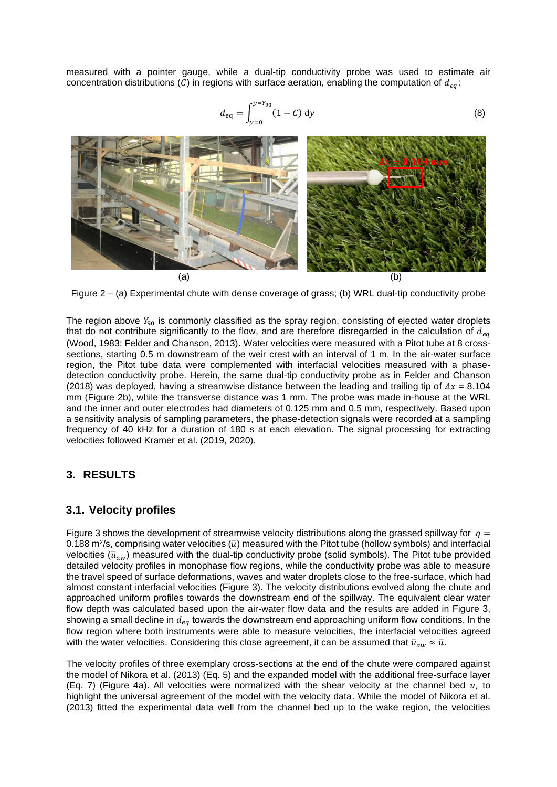measured with a pointer gauge, while a dual-tip conductivity probe was used to estimate air concentration distributions (C) in regions with surface aeration, enabling the computation of  $d_{ea}$ :

$$
d_{\text{eq}} = \int_{y=0}^{y=Y_{90}} (1 - C) \, \text{d}y \tag{8}
$$



Figure 2 – (a) Experimental chute with dense coverage of grass; (b) WRL dual-tip conductivity probe

The region above  $Y_{90}$  is commonly classified as the spray region, consisting of ejected water droplets that do not contribute significantly to the flow, and are therefore disregarded in the calculation of  $d_{ea}$ (Wood, 1983; Felder and Chanson, 2013). Water velocities were measured with a Pitot tube at 8 crosssections, starting 0.5 m downstream of the weir crest with an interval of 1 m. In the air-water surface region, the Pitot tube data were complemented with interfacial velocities measured with a phasedetection conductivity probe. Herein, the same dual-tip conductivity probe as in Felder and Chanson (2018) was deployed, having a streamwise distance between the leading and trailing tip of  $\Delta x = 8.104$ mm (Figure 2b), while the transverse distance was 1 mm. The probe was made in-house at the WRL and the inner and outer electrodes had diameters of 0.125 mm and 0.5 mm, respectively. Based upon a sensitivity analysis of sampling parameters, the phase-detection signals were recorded at a sampling frequency of 40 kHz for a duration of 180 s at each elevation. The signal processing for extracting velocities followed Kramer et al. (2019, 2020).

#### **3. RESULTS**

#### **3.1. Velocity profiles**

Figure 3 shows the development of streamwise velocity distributions along the grassed spillway for  $q =$ 0.188 m<sup>2</sup>/s, comprising water velocities ( $\bar{u}$ ) measured with the Pitot tube (hollow symbols) and interfacial velocities ( $\bar{u}_{aw}$ ) measured with the dual-tip conductivity probe (solid symbols). The Pitot tube provided detailed velocity profiles in monophase flow regions, while the conductivity probe was able to measure the travel speed of surface deformations, waves and water droplets close to the free-surface, which had almost constant interfacial velocities (Figure 3). The velocity distributions evolved along the chute and approached uniform profiles towards the downstream end of the spillway. The equivalent clear water flow depth was calculated based upon the air-water flow data and the results are added in Figure 3, showing a small decline in  $d_{eq}$  towards the downstream end approaching uniform flow conditions. In the flow region where both instruments were able to measure velocities, the interfacial velocities agreed with the water velocities. Considering this close agreement, it can be assumed that  $\bar{u}_{aw} \approx \bar{u}$ .

The velocity profiles of three exemplary cross-sections at the end of the chute were compared against the model of Nikora et al. (2013) (Eq. 5) and the expanded model with the additional free-surface layer (Eq. 7) (Figure 4a). All velocities were normalized with the shear velocity at the channel bed  $u_*$  to highlight the universal agreement of the model with the velocity data. While the model of Nikora et al. (2013) fitted the experimental data well from the channel bed up to the wake region, the velocities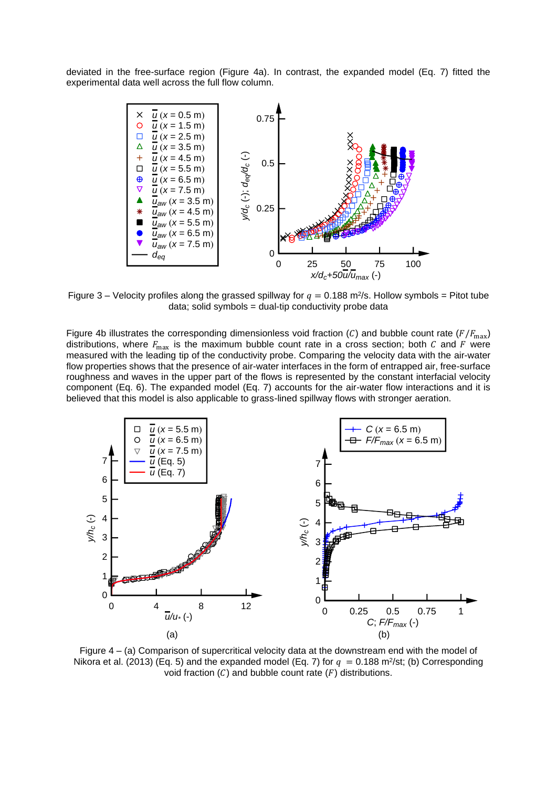deviated in the free-surface region (Figure 4a). In contrast, the expanded model (Eq. 7) fitted the experimental data well across the full flow column.



Figure 3 – Velocity profiles along the grassed spillway for  $q = 0.188$  m<sup>2</sup>/s. Hollow symbols = Pitot tube data; solid symbols = dual-tip conductivity probe data

Figure 4b illustrates the corresponding dimensionless void fraction (C) and bubble count rate ( $F/F_{\text{max}}$ ) distributions, where  $F_{\text{max}}$  is the maximum bubble count rate in a cross section; both C and F were measured with the leading tip of the conductivity probe. Comparing the velocity data with the air-water flow properties shows that the presence of air-water interfaces in the form of entrapped air, free-surface roughness and waves in the upper part of the flows is represented by the constant interfacial velocity component (Eq. 6). The expanded model (Eq. 7) accounts for the air-water flow interactions and it is believed that this model is also applicable to grass-lined spillway flows with stronger aeration.



Figure 4 – (a) Comparison of supercritical velocity data at the downstream end with the model of Nikora et al. (2013) (Eq. 5) and the expanded model (Eq. 7) for  $q = 0.188$  m<sup>2</sup>/st; (b) Corresponding void fraction  $(C)$  and bubble count rate  $(F)$  distributions.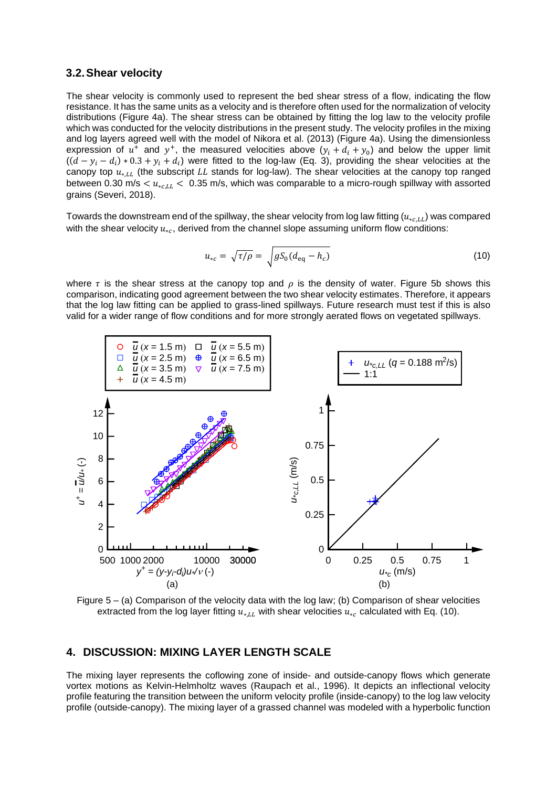#### **3.2.Shear velocity**

The shear velocity is commonly used to represent the bed shear stress of a flow, indicating the flow resistance. It has the same units as a velocity and is therefore often used for the normalization of velocity distributions (Figure 4a). The shear stress can be obtained by fitting the log law to the velocity profile which was conducted for the velocity distributions in the present study. The velocity profiles in the mixing and log layers agreed well with the model of Nikora et al. (2013) (Figure 4a). Using the dimensionless expression of  $u^+$  and  $y^+$ , the measured velocities above  $(y_i + d_i + y_0)$  and below the upper limit  $((d - y_i - d_i) * 0.3 + y_i + d_i)$  were fitted to the log-law (Eq. 3), providing the shear velocities at the canopy top  $u_{*,LL}$  (the subscript LL stands for log-law). The shear velocities at the canopy top ranged between 0.30 m/s  $\lt u_{*c,LL}$   $\lt$  0.35 m/s, which was comparable to a micro-rough spillway with assorted grains (Severi, 2018).

Towards the downstream end of the spillway, the shear velocity from log law fitting  $(u_{*,c,LL})$  was compared with the shear velocity  $u_{*c}$ , derived from the channel slope assuming uniform flow conditions:

$$
u_{*c} = \sqrt{\tau/\rho} = \sqrt{gS_0(d_{\text{eq}} - h_c)}
$$
\n(10)

where  $\tau$  is the shear stress at the canopy top and  $\rho$  is the density of water. Figure 5b shows this comparison, indicating good agreement between the two shear velocity estimates. Therefore, it appears that the log law fitting can be applied to grass-lined spillways. Future research must test if this is also valid for a wider range of flow conditions and for more strongly aerated flows on vegetated spillways.



Figure 5 – (a) Comparison of the velocity data with the log law; (b) Comparison of shear velocities extracted from the log layer fitting  $u_{*LL}$  with shear velocities  $u_{*c}$  calculated with Eq. (10).

#### **4. DISCUSSION: MIXING LAYER LENGTH SCALE**

The mixing layer represents the coflowing zone of inside- and outside-canopy flows which generate vortex motions as Kelvin-Helmholtz waves (Raupach et al., 1996). It depicts an inflectional velocity profile featuring the transition between the uniform velocity profile (inside-canopy) to the log law velocity profile (outside-canopy). The mixing layer of a grassed channel was modeled with a hyperbolic function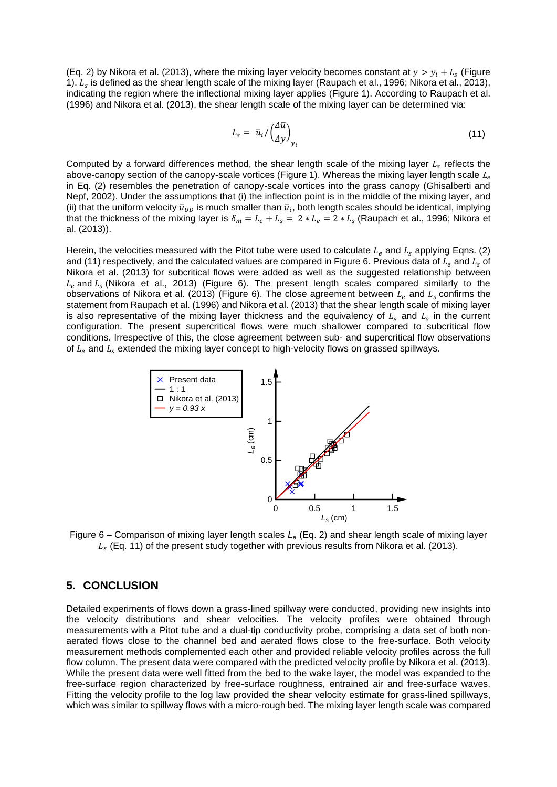(Eq. 2) by Nikora et al. (2013), where the mixing layer velocity becomes constant at  $y > y_i + L_s$  (Figure 1).  $L_s$  is defined as the shear length scale of the mixing layer (Raupach et al., 1996; Nikora et al., 2013), indicating the region where the inflectional mixing layer applies (Figure 1). According to Raupach et al. (1996) and Nikora et al. (2013), the shear length scale of the mixing layer can be determined via:

$$
L_s = \bar{u}_i / \left(\frac{\Delta \bar{u}}{\Delta y}\right)_{y_i}
$$
 (11)

Computed by a forward differences method, the shear length scale of the mixing layer  $L_s$  reflects the above-canopy section of the canopy-scale vortices (Figure 1). Whereas the mixing layer length scale  $L_e$ in Eq. (2) resembles the penetration of canopy-scale vortices into the grass canopy (Ghisalberti and Nepf, 2002). Under the assumptions that (i) the inflection point is in the middle of the mixing layer, and (ii) that the uniform velocity  $\bar u_{UD}$  is much smaller than  $\bar u_i$ , both length scales should be identical, implying that the thickness of the mixing layer is  $\delta_m = L_e + L_s = 2 * L_e = 2 * L_s$  (Raupach et al., 1996; Nikora et al. (2013)).

Herein, the velocities measured with the Pitot tube were used to calculate  $L_e$  and  $L_s$  applying Eqns. (2) and (11) respectively, and the calculated values are compared in Figure 6. Previous data of  $L_e$  and  $L_s$  of Nikora et al. (2013) for subcritical flows were added as well as the suggested relationship between  $L_e$  and  $L_s$  (Nikora et al., 2013) (Figure 6). The present length scales compared similarly to the observations of Nikora et al. (2013) (Figure 6). The close agreement between  $L_e$  and  $L_s$  confirms the statement from Raupach et al. (1996) and Nikora et al. (2013) that the shear length scale of mixing layer is also representative of the mixing layer thickness and the equivalency of  $L_e$  and  $L_s$  in the current configuration. The present supercritical flows were much shallower compared to subcritical flow conditions. Irrespective of this, the close agreement between sub- and supercritical flow observations of  $L_e$  and  $L_s$  extended the mixing layer concept to high-velocity flows on grassed spillways.



Figure 6 – Comparison of mixing layer length scales *L<sup>e</sup>* (Eq. 2) and shear length scale of mixing layer  $L_{\mathrm{s}}$  (Eq. 11) of the present study together with previous results from Nikora et al. (2013).

#### **5. CONCLUSION**

Detailed experiments of flows down a grass-lined spillway were conducted, providing new insights into the velocity distributions and shear velocities. The velocity profiles were obtained through measurements with a Pitot tube and a dual-tip conductivity probe, comprising a data set of both nonaerated flows close to the channel bed and aerated flows close to the free-surface. Both velocity measurement methods complemented each other and provided reliable velocity profiles across the full flow column. The present data were compared with the predicted velocity profile by Nikora et al. (2013). While the present data were well fitted from the bed to the wake layer, the model was expanded to the free-surface region characterized by free-surface roughness, entrained air and free-surface waves. Fitting the velocity profile to the log law provided the shear velocity estimate for grass-lined spillways, which was similar to spillway flows with a micro-rough bed. The mixing layer length scale was compared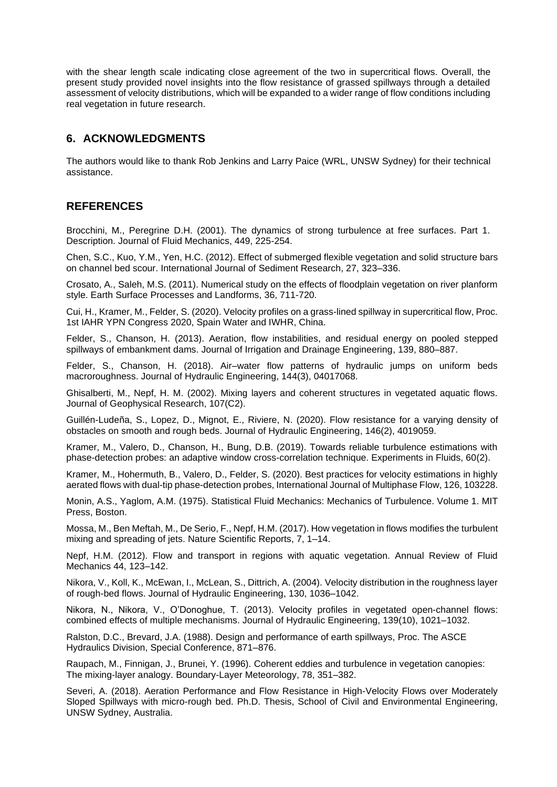with the shear length scale indicating close agreement of the two in supercritical flows. Overall, the present study provided novel insights into the flow resistance of grassed spillways through a detailed assessment of velocity distributions, which will be expanded to a wider range of flow conditions including real vegetation in future research.

## **6. ACKNOWLEDGMENTS**

The authors would like to thank Rob Jenkins and Larry Paice (WRL, UNSW Sydney) for their technical assistance.

## **REFERENCES**

Brocchini, M., Peregrine D.H. (2001). The dynamics of strong turbulence at free surfaces. Part 1. Description. Journal of Fluid Mechanics, 449, 225-254.

Chen, S.C., Kuo, Y.M., Yen, H.C. (2012). Effect of submerged flexible vegetation and solid structure bars on channel bed scour. International Journal of Sediment Research, 27, 323–336.

Crosato, A., Saleh, M.S. (2011). Numerical study on the effects of floodplain vegetation on river planform style. Earth Surface Processes and Landforms, 36, 711-720.

Cui, H., Kramer, M., Felder, S. (2020). Velocity profiles on a grass-lined spillway in supercritical flow, Proc. 1st IAHR YPN Congress 2020, Spain Water and IWHR, China.

Felder, S., Chanson, H. (2013). Aeration, flow instabilities, and residual energy on pooled stepped spillways of embankment dams. Journal of Irrigation and Drainage Engineering, 139, 880–887.

Felder, S., Chanson, H. (2018). Air–water flow patterns of hydraulic jumps on uniform beds macroroughness. Journal of Hydraulic Engineering, 144(3), 04017068.

Ghisalberti, M., Nepf, H. M. (2002). Mixing layers and coherent structures in vegetated aquatic flows. Journal of Geophysical Research, 107(C2).

Guillén-Ludeña, S., Lopez, D., Mignot, E., Riviere, N. (2020). Flow resistance for a varying density of obstacles on smooth and rough beds. Journal of Hydraulic Engineering, 146(2), 4019059.

Kramer, M., Valero, D., Chanson, H., Bung, D.B. (2019). Towards reliable turbulence estimations with phase-detection probes: an adaptive window cross-correlation technique. Experiments in Fluids, 60(2).

Kramer, M., Hohermuth, B., Valero, D., Felder, S. (2020). Best practices for velocity estimations in highly aerated flows with dual-tip phase-detection probes, International Journal of Multiphase Flow, 126, 103228.

Monin, A.S., Yaglom, A.M. (1975). Statistical Fluid Mechanics: Mechanics of Turbulence. Volume 1. MIT Press, Boston.

Mossa, M., Ben Meftah, M., De Serio, F., Nepf, H.M. (2017). How vegetation in flows modifies the turbulent mixing and spreading of jets. Nature Scientific Reports, 7, 1–14.

Nepf, H.M. (2012). Flow and transport in regions with aquatic vegetation. Annual Review of Fluid Mechanics 44, 123–142.

Nikora, V., Koll, K., McEwan, I., McLean, S., Dittrich, A. (2004). Velocity distribution in the roughness layer of rough-bed flows. Journal of Hydraulic Engineering, 130, 1036–1042.

Nikora, N., Nikora, V., O'Donoghue, T. (2013). Velocity profiles in vegetated open-channel flows: combined effects of multiple mechanisms. Journal of Hydraulic Engineering, 139(10), 1021–1032.

Ralston, D.C., Brevard, J.A. (1988). Design and performance of earth spillways, Proc. The ASCE Hydraulics Division, Special Conference, 871–876.

Raupach, M., Finnigan, J., Brunei, Y. (1996). Coherent eddies and turbulence in vegetation canopies: The mixing-layer analogy. Boundary-Layer Meteorology, 78, 351–382.

Severi, A. (2018). Aeration Performance and Flow Resistance in High-Velocity Flows over Moderately Sloped Spillways with micro-rough bed. Ph.D. Thesis, School of Civil and Environmental Engineering, UNSW Sydney, Australia.